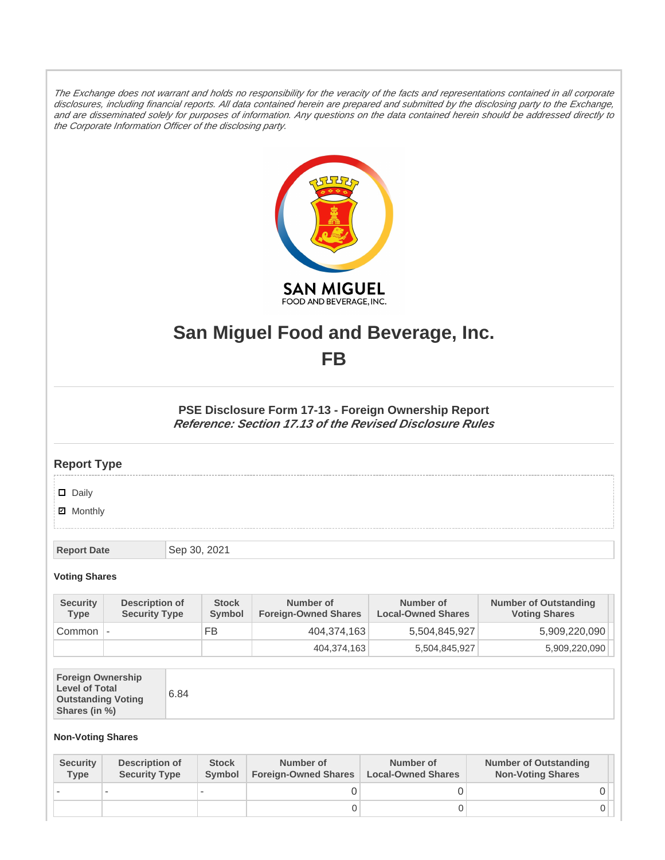The Exchange does not warrant and holds no responsibility for the veracity of the facts and representations contained in all corporate disclosures, including financial reports. All data contained herein are prepared and submitted by the disclosing party to the Exchange, and are disseminated solely for purposes of information. Any questions on the data contained herein should be addressed directly to the Corporate Information Officer of the disclosing party.



# **San Miguel Food and Beverage, Inc. FB**

**PSE Disclosure Form 17-13 - Foreign Ownership Report Reference: Section 17.13 of the Revised Disclosure Rules**

## **Report Type**

### Daily

**Ø** Monthly

**Report Date** Sep 30, 2021

### **Voting Shares**

| <b>Security</b><br><b>Type</b> | Description of<br><b>Security Type</b> | <b>Stock</b><br><b>Symbol</b> | Number of<br><b>Foreign-Owned Shares</b> | Number of<br><b>Local-Owned Shares</b> | <b>Number of Outstanding</b><br><b>Voting Shares</b> |
|--------------------------------|----------------------------------------|-------------------------------|------------------------------------------|----------------------------------------|------------------------------------------------------|
| Common                         |                                        | FB                            | 404.374.163                              | 5,504,845,927                          | 5,909,220,090                                        |
|                                |                                        |                               | 404,374,163                              | 5,504,845,927                          | 5,909,220,090                                        |

| <b>Foreign Ownership</b><br><b>Level of Total</b><br><b>Outstanding Voting</b><br>Shares (in %) | 6.84 |
|-------------------------------------------------------------------------------------------------|------|
|-------------------------------------------------------------------------------------------------|------|

### **Non-Voting Shares**

| <b>Security</b><br>Type | Description of<br><b>Security Type</b> | <b>Stock</b><br><b>Symbol</b> | Number of<br><b>Foreign-Owned Shares</b> | Number of<br><b>Local-Owned Shares</b> | <b>Number of Outstanding</b><br><b>Non-Voting Shares</b> |
|-------------------------|----------------------------------------|-------------------------------|------------------------------------------|----------------------------------------|----------------------------------------------------------|
|                         |                                        |                               |                                          |                                        |                                                          |
|                         |                                        |                               |                                          |                                        |                                                          |